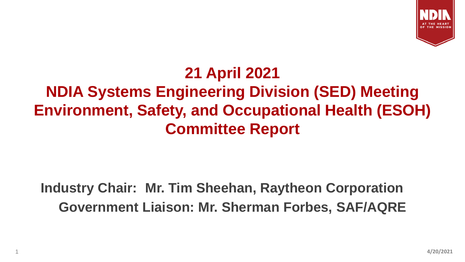

## **21 April 2021 NDIA Systems Engineering Division (SED) Meeting Environment, Safety, and Occupational Health (ESOH) Committee Report**

### **Industry Chair: Mr. Tim Sheehan, Raytheon Corporation Government Liaison: Mr. Sherman Forbes, SAF/AQRE**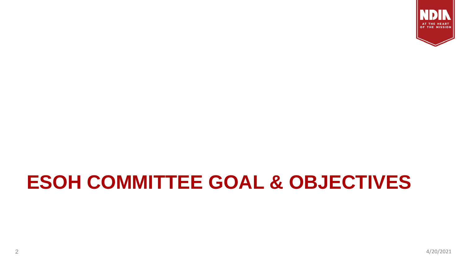

# **ESOH COMMITTEE GOAL & OBJECTIVES**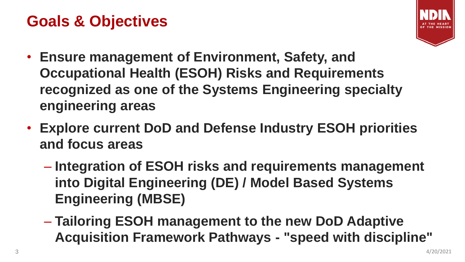### **Goals & Objectives**



- **Ensure management of Environment, Safety, and Occupational Health (ESOH) Risks and Requirements recognized as one of the Systems Engineering specialty engineering areas**
- **Explore current DoD and Defense Industry ESOH priorities and focus areas**
	- **Integration of ESOH risks and requirements management into Digital Engineering (DE) / Model Based Systems Engineering (MBSE)**
	- **Tailoring ESOH management to the new DoD Adaptive Acquisition Framework Pathways - "speed with discipline"**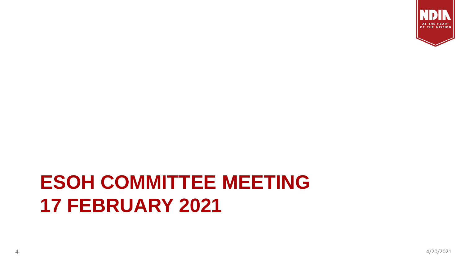

## **ESOH COMMITTEE MEETING 17 FEBRUARY 2021**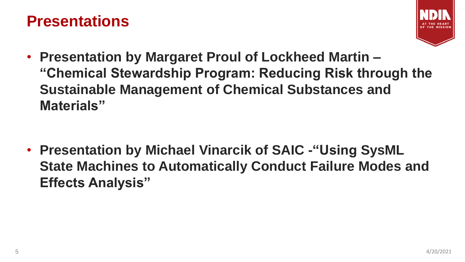#### **Presentations**



• **Presentation by Margaret Proul of Lockheed Martin – "Chemical Stewardship Program: Reducing Risk through the Sustainable Management of Chemical Substances and Materials"**

• **Presentation by Michael Vinarcik of SAIC -"Using SysML State Machines to Automatically Conduct Failure Modes and Effects Analysis"**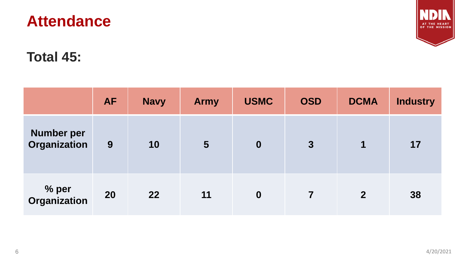#### **Attendance**



#### **Total 45:**

|                                          | <b>AF</b> | <b>Navy</b> | <b>Army</b> | <b>USMC</b>      | <b>OSD</b>              | <b>DCMA</b>    | <b>Industry</b> |
|------------------------------------------|-----------|-------------|-------------|------------------|-------------------------|----------------|-----------------|
| <b>Number per</b><br><b>Organization</b> | 9         | 10          | 5           | $\mathbf 0$      | 3                       | 1              | 17              |
| % per<br>Organization                    | 20        | 22          | 11          | $\boldsymbol{0}$ | $\overline{\mathbf{7}}$ | $\overline{2}$ | 38              |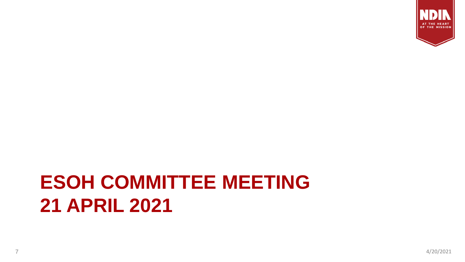

# **ESOH COMMITTEE MEETING 21 APRIL 2021**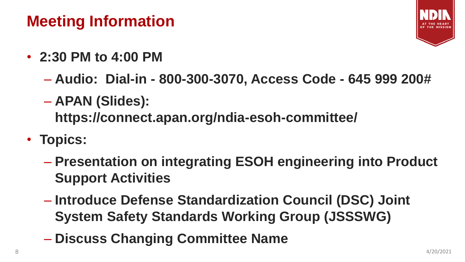### **Meeting Information**



- **2:30 PM to 4:00 PM**
	- **Audio: Dial-in - 800-300-3070, Access Code - 645 999 200#**
	- **APAN (Slides): https://connect.apan.org/ndia-esoh-committee/**
- **Topics:**
	- **Presentation on integrating ESOH engineering into Product Support Activities**
	- **Introduce Defense Standardization Council (DSC) Joint System Safety Standards Working Group (JSSSWG)**
	- **Discuss Changing Committee Name**